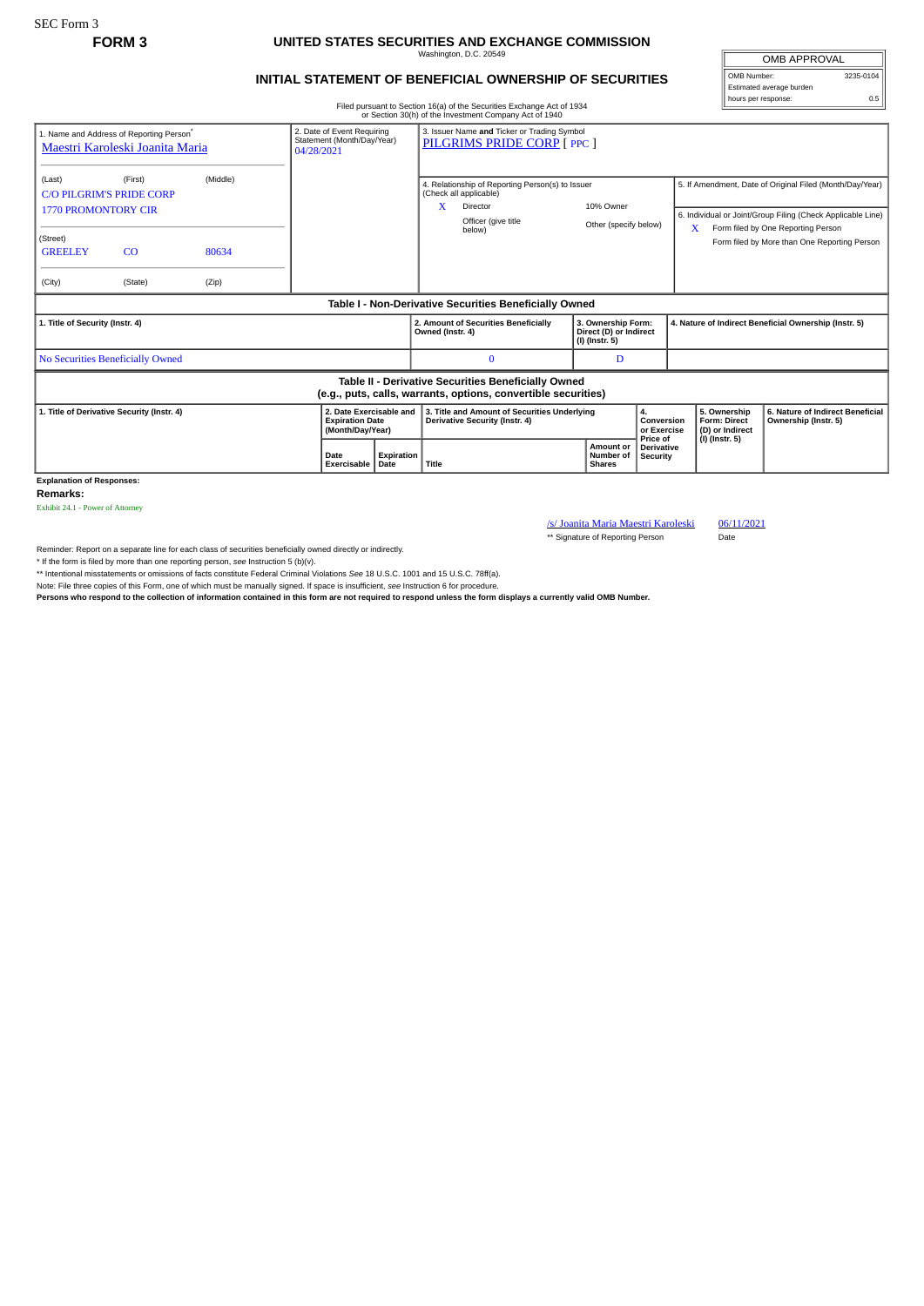SEC Form 3

## **FORM 3 UNITED STATES SECURITIES AND EXCHANGE COMMISSION**

Washington, D.C. 20549

OMB APPROVAL OMB Number: 3235-0104

hours per response: 0.5

Estimated average burden

## **INITIAL STATEMENT OF BENEFICIAL OWNERSHIP OF SECURITIES**

Filed pursuant to Section 16(a) of the Securities Exchange Act of 1934 or Section 30(h) of the Investment Company Act of 1940

|                                                                                                                       |                                                                                         |                            |                                                                        |            | or Section 30(11) or the investment Company Act or 1940                                                                      |                                                                |                                                                               |                 |                                                                          |                                                                                                                                                                                                               |
|-----------------------------------------------------------------------------------------------------------------------|-----------------------------------------------------------------------------------------|----------------------------|------------------------------------------------------------------------|------------|------------------------------------------------------------------------------------------------------------------------------|----------------------------------------------------------------|-------------------------------------------------------------------------------|-----------------|--------------------------------------------------------------------------|---------------------------------------------------------------------------------------------------------------------------------------------------------------------------------------------------------------|
|                                                                                                                       | 1. Name and Address of Reporting Person <sup>®</sup><br>Maestri Karoleski Joanita Maria |                            | 2. Date of Event Requiring<br>Statement (Month/Day/Year)<br>04/28/2021 |            | 3. Issuer Name and Ticker or Trading Symbol<br>PILGRIMS PRIDE CORP [ PPC ]                                                   |                                                                |                                                                               |                 |                                                                          |                                                                                                                                                                                                               |
| (Last)<br><b>C/O PILGRIM'S PRIDE CORP</b><br><b>1770 PROMONTORY CIR</b><br>(Street)<br><b>GREELEY</b><br>(City)       | (First)<br>CO<br>(State)                                                                | (Middle)<br>80634<br>(Zip) |                                                                        |            | 4. Relationship of Reporting Person(s) to Issuer<br>(Check all applicable)<br>X<br>Director<br>Officer (give title<br>below) | 10% Owner                                                      | Other (specify below)                                                         |                 | X                                                                        | 5. If Amendment, Date of Original Filed (Month/Day/Year)<br>6. Individual or Joint/Group Filing (Check Applicable Line)<br>Form filed by One Reporting Person<br>Form filed by More than One Reporting Person |
| Table I - Non-Derivative Securities Beneficially Owned                                                                |                                                                                         |                            |                                                                        |            |                                                                                                                              |                                                                |                                                                               |                 |                                                                          |                                                                                                                                                                                                               |
| 1. Title of Security (Instr. 4)                                                                                       |                                                                                         |                            |                                                                        |            | 2. Amount of Securities Beneficially<br>Owned (Instr. 4)                                                                     | 3. Ownership Form:<br>Direct (D) or Indirect<br>(I) (Instr. 5) |                                                                               |                 | 4. Nature of Indirect Beneficial Ownership (Instr. 5)                    |                                                                                                                                                                                                               |
| No Securities Beneficially Owned                                                                                      |                                                                                         |                            |                                                                        |            | $\bf{0}$                                                                                                                     | D                                                              |                                                                               |                 |                                                                          |                                                                                                                                                                                                               |
| Table II - Derivative Securities Beneficially Owned<br>(e.g., puts, calls, warrants, options, convertible securities) |                                                                                         |                            |                                                                        |            |                                                                                                                              |                                                                |                                                                               |                 |                                                                          |                                                                                                                                                                                                               |
| 1. Title of Derivative Security (Instr. 4)                                                                            |                                                                                         |                            | 2. Date Exercisable and<br><b>Expiration Date</b><br>(Month/Day/Year)  |            | 3. Title and Amount of Securities Underlying<br><b>Derivative Security (Instr. 4)</b>                                        |                                                                | 4.<br>Conversion<br>or Exercise<br>Price of<br>Amount or<br><b>Derivative</b> |                 | 5. Ownership<br><b>Form: Direct</b><br>(D) or Indirect<br>(I) (Instr. 5) | 6. Nature of Indirect Beneficial<br>Ownership (Instr. 5)                                                                                                                                                      |
|                                                                                                                       |                                                                                         |                            | Date<br>Exercisable Date                                               | Expiration | Title                                                                                                                        | Number of<br><b>Shares</b>                                     |                                                                               | <b>Security</b> |                                                                          |                                                                                                                                                                                                               |

**Explanation of Responses:**

**Remarks:**

Exhibit 24.1 - Power of Attorney

/s/ Joanita Maria Maestri Karoleski 06/11/2021 \*\* Signature of Reporting Person Date

Reminder: Report on a separate line for each class of securities beneficially owned directly or indirectly.

\* If the form is filed by more than one reporting person, *see* Instruction 5 (b)(v).

\*\* Intentional misstatements or omissions of facts constitute Federal Criminal Violations *See* 18 U.S.C. 1001 and 15 U.S.C. 78ff(a).

Note: File three copies of this Form, one of which must be manually signed. If space is insufficient, *see* Instruction 6 for procedure.

**Persons who respond to the collection of information contained in this form are not required to respond unless the form displays a currently valid OMB Number.**